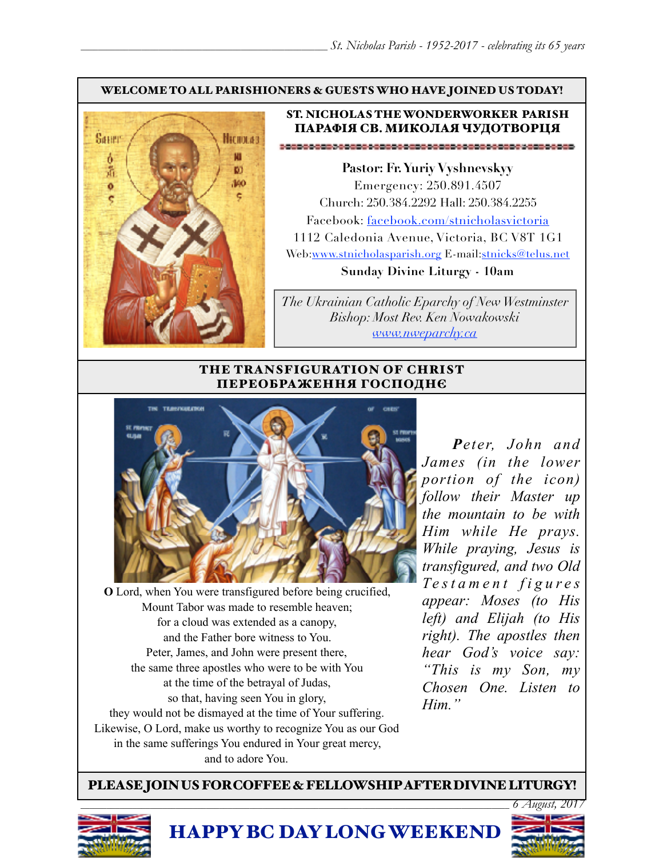#### WELCOME TO ALL PARISHIONERS & GUESTS WHO HAVE JOINED US TODAY!



## ST. NICHOLAS THE WONDERWORKER PARISH ПАРАФІЯ СВ. МИКОЛАЯ ЧУДОТВОРЦЯ

**Pastor: Fr. Yuriy Vyshnevskyy** Emergency: 250.891.4507 Church: 250.384.2292 Hall: 250.384.2255 Facebook: facebook.com/stnicholasvictoria 1112 Caledonia Avenue, Victoria, BC V8T 1G1 Web[:www.stnicholasparish.org](http://www.stnicholasparish.org) E-mail:[stnicks@telus.net](mailto:stnicks@telus.net) **Sunday Divine Liturgy - 10am**

*The Ukrainian Catholic Eparchy of New Westminster Bishop: Most Rev. Ken Nowakowski [www.nweparchy.ca](http://www.nweparchy.ca)*

### THE TRANSFIGURATION OF CHRIST ПЕРЕОБРАЖЕННЯ ГОСПОДНЄ



**O** Lord, when You were transfigured before being crucified, Mount Tabor was made to resemble heaven; for a cloud was extended as a canopy, and the Father bore witness to You. Peter, James, and John were present there, the same three apostles who were to be with You at the time of the betrayal of Judas, so that, having seen You in glory, they would not be dismayed at the time of Your suffering. Likewise, O Lord, make us worthy to recognize You as our God in the same sufferings You endured in Your great mercy, and to adore You.

*Peter, John and James (in the lower portion of the icon) follow their Master up the mountain to be with Him while He prays. While praying, Jesus is transfigured, and two Old Te s t a m e n t f i g u r e s appear: Moses (to His left) and Elijah (to His right). The apostles then hear God's voice say: "This is my Son, my Chosen One. Listen to Him."*

PLEASE JOIN US FOR COFFEE & FELLOWSHIP AFTER DIVINE LITURGY!



HAPPY BC DAY LONG WEEKEND

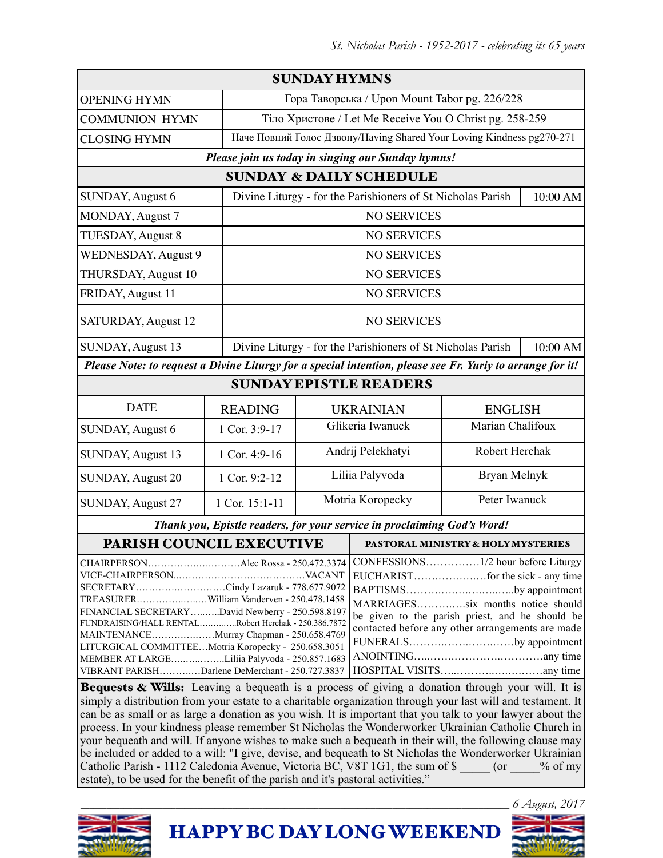| <b>SUNDAY HYMNS</b>                                                                                                                                                                                                                                                                                                                                |                |                                                                       |                                                             |                                                                                                                                                                                                                                    |          |  |
|----------------------------------------------------------------------------------------------------------------------------------------------------------------------------------------------------------------------------------------------------------------------------------------------------------------------------------------------------|----------------|-----------------------------------------------------------------------|-------------------------------------------------------------|------------------------------------------------------------------------------------------------------------------------------------------------------------------------------------------------------------------------------------|----------|--|
| <b>OPENING HYMN</b>                                                                                                                                                                                                                                                                                                                                |                |                                                                       | Гора Таворська / Upon Mount Tabor pg. 226/228               |                                                                                                                                                                                                                                    |          |  |
| <b>COMMUNION HYMN</b>                                                                                                                                                                                                                                                                                                                              |                |                                                                       | Тіло Христове / Let Me Receive You O Christ pg. 258-259     |                                                                                                                                                                                                                                    |          |  |
| <b>CLOSING HYMN</b>                                                                                                                                                                                                                                                                                                                                |                | Наче Повний Голос Дзвону/Having Shared Your Loving Kindness pg270-271 |                                                             |                                                                                                                                                                                                                                    |          |  |
| Please join us today in singing our Sunday hymns!                                                                                                                                                                                                                                                                                                  |                |                                                                       |                                                             |                                                                                                                                                                                                                                    |          |  |
| <b>SUNDAY &amp; DAILY SCHEDULE</b>                                                                                                                                                                                                                                                                                                                 |                |                                                                       |                                                             |                                                                                                                                                                                                                                    |          |  |
| SUNDAY, August 6                                                                                                                                                                                                                                                                                                                                   |                | Divine Liturgy - for the Parishioners of St Nicholas Parish           |                                                             | 10:00 AM                                                                                                                                                                                                                           |          |  |
| MONDAY, August 7                                                                                                                                                                                                                                                                                                                                   |                | <b>NO SERVICES</b>                                                    |                                                             |                                                                                                                                                                                                                                    |          |  |
| TUESDAY, August 8                                                                                                                                                                                                                                                                                                                                  |                | <b>NO SERVICES</b>                                                    |                                                             |                                                                                                                                                                                                                                    |          |  |
| <b>WEDNESDAY, August 9</b>                                                                                                                                                                                                                                                                                                                         |                | <b>NO SERVICES</b>                                                    |                                                             |                                                                                                                                                                                                                                    |          |  |
| THURSDAY, August 10                                                                                                                                                                                                                                                                                                                                |                | <b>NO SERVICES</b>                                                    |                                                             |                                                                                                                                                                                                                                    |          |  |
| FRIDAY, August 11                                                                                                                                                                                                                                                                                                                                  |                | <b>NO SERVICES</b>                                                    |                                                             |                                                                                                                                                                                                                                    |          |  |
| SATURDAY, August 12                                                                                                                                                                                                                                                                                                                                |                | <b>NO SERVICES</b>                                                    |                                                             |                                                                                                                                                                                                                                    |          |  |
| SUNDAY, August 13                                                                                                                                                                                                                                                                                                                                  |                |                                                                       | Divine Liturgy - for the Parishioners of St Nicholas Parish |                                                                                                                                                                                                                                    | 10:00 AM |  |
| Please Note: to request a Divine Liturgy for a special intention, please see Fr. Yuriy to arrange for it!                                                                                                                                                                                                                                          |                |                                                                       |                                                             |                                                                                                                                                                                                                                    |          |  |
| <b>SUNDAY EPISTLE READERS</b>                                                                                                                                                                                                                                                                                                                      |                |                                                                       |                                                             |                                                                                                                                                                                                                                    |          |  |
| <b>DATE</b>                                                                                                                                                                                                                                                                                                                                        | <b>READING</b> | <b>UKRAINIAN</b><br><b>ENGLISH</b>                                    |                                                             |                                                                                                                                                                                                                                    |          |  |
| SUNDAY, August 6                                                                                                                                                                                                                                                                                                                                   | 1 Cor. 3:9-17  |                                                                       | Glikeria Iwanuck                                            | Marian Chalifoux                                                                                                                                                                                                                   |          |  |
| SUNDAY, August 13                                                                                                                                                                                                                                                                                                                                  | 1 Cor. 4:9-16  |                                                                       | Andrij Pelekhatyi                                           | Robert Herchak                                                                                                                                                                                                                     |          |  |
| <b>SUNDAY, August 20</b>                                                                                                                                                                                                                                                                                                                           | 1 Cor. 9:2-12  |                                                                       | Bryan Melnyk<br>Liliia Palyvoda                             |                                                                                                                                                                                                                                    |          |  |
| <b>SUNDAY, August 27</b>                                                                                                                                                                                                                                                                                                                           | 1 Cor. 15:1-11 |                                                                       | Motria Koropecky<br>Peter Iwanuck                           |                                                                                                                                                                                                                                    |          |  |
| Thank you, Epistle readers, for your service in proclaiming God's Word!                                                                                                                                                                                                                                                                            |                |                                                                       |                                                             |                                                                                                                                                                                                                                    |          |  |
| PARISH COUNCIL EXECUTIVE                                                                                                                                                                                                                                                                                                                           |                |                                                                       | PASTORAL MINISTRY & HOLY MYSTERIES                          |                                                                                                                                                                                                                                    |          |  |
| SECRETARYCindy Lazaruk - 778.677.9072<br>TREASURERWilliam Vanderven - 250.478.1458<br>FINANCIAL SECRETARYDavid Newberry - 250.598.8197<br>FUNDRAISING/HALL RENTALRobert Herchak - 250.386.7872<br>MAINTENANCEMurray Chapman - 250.658.4769<br>LITURGICAL COMMITTEEMotria Koropecky - 250.658.3051<br>MEMBER AT LARGELiliia Palyvoda - 250.857.1683 |                |                                                                       |                                                             | CONFESSIONS1/2 hour before Liturgy<br>BAPTISMSby appointment<br>MARRIAGESsix months notice should<br>be given to the parish priest, and he should be<br>contacted before any other arrangements are made<br>FUNERALSby appointment |          |  |
| VIBRANT PARISHDarlene DeMerchant - 250.727.3837<br>Bequests & Wills: Leaving a bequeath is a process of giving a donation through your will. It is                                                                                                                                                                                                 |                |                                                                       |                                                             |                                                                                                                                                                                                                                    |          |  |

simply a distribution from your estate to a charitable organization through your last will and testament. It can be as small or as large a donation as you wish. It is important that you talk to your lawyer about the process. In your kindness please remember St Nicholas the Wonderworker Ukrainian Catholic Church in your bequeath and will. If anyone wishes to make such a bequeath in their will, the following clause may be included or added to a will: "I give, devise, and bequeath to St Nicholas the Wonderworker Ukrainian Catholic Parish - 1112 Caledonia Avenue, Victoria BC, V8T 1G1, the sum of \$  $\qquad \qquad$  (or  $\qquad \qquad$  % of my estate), to be used for the benefit of the parish and it's pastoral activities."



HAPPY BC DAY LONG WEEKEND

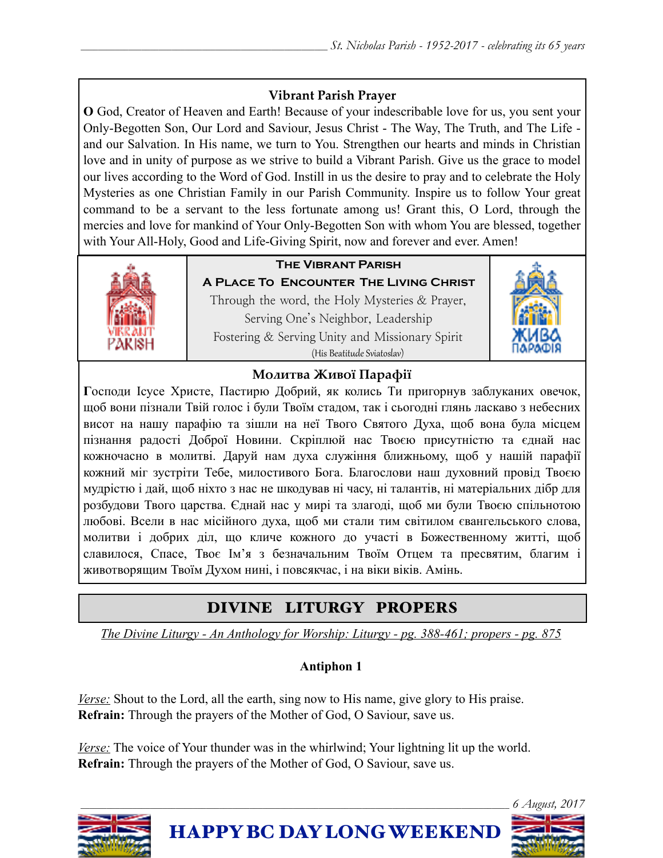## **Vibrant Parish Prayer**

**O** God, Creator of Heaven and Earth! Because of your indescribable love for us, you sent your Only-Begotten Son, Our Lord and Saviour, Jesus Christ - The Way, The Truth, and The Life and our Salvation. In His name, we turn to You. Strengthen our hearts and minds in Christian love and in unity of purpose as we strive to build a Vibrant Parish. Give us the grace to model our lives according to the Word of God. Instill in us the desire to pray and to celebrate the Holy Mysteries as one Christian Family in our Parish Community. Inspire us to follow Your great command to be a servant to the less fortunate among us! Grant this, O Lord, through the mercies and love for mankind of Your Only-Begotten Son with whom You are blessed, together with Your All-Holy, Good and Life-Giving Spirit, now and forever and ever. Amen!



# **The Vibrant Parish**

**A Place To Encounter The Living Christ** Through the word, the Holy Mysteries & Prayer, Serving One's Neighbor, Leadership Fostering & Serving Unity and Missionary Spirit (His Beatitude Sviatoslav)



## **Молитва Живої Парафії**

**Г**осподи Ісусе Христе, Пастирю Добрий, як колись Ти пригорнув заблуканих овечок, щоб вони пізнали Твій голос і були Твоїм стадом, так і сьогодні глянь ласкаво з небесних висот на нашу парафію та зішли на неї Твого Святого Духа, щоб вона була місцем пізнання радості Доброї Новини. Скріплюй нас Твоєю присутністю та єднай нас кожночасно в молитві. Даруй нам духа служіння ближньому, щоб у нашій парафії кожний міг зустріти Тебе, милостивого Бога. Благослови наш духовний провід Твоєю мудрістю і дай, щоб ніхто з нас не шкодував ні часу, ні талантів, ні матеріальних дібр для розбудови Твого царства. Єднай нас у мирі та злагоді, щоб ми були Твоєю спільнотою любові. Всели в нас місійного духа, щоб ми стали тим світилом євангельського слова, молитви і добрих діл, що кличе кожного до участі в Божественному житті, щоб славилося, Спасе, Твоє Ім'я з безначальним Твоїм Отцем та пресвятим, благим і животворящим Твоїм Духом нині, і повсякчас, і на віки віків. Амінь.

# DIVINE LITURGY PROPERS

*The Divine Liturgy - An Anthology for Worship: Liturgy - pg. 388-461; propers - pg. 875* 

## **Antiphon 1**

*Verse:* Shout to the Lord, all the earth, sing now to His name, give glory to His praise. **Refrain:** Through the prayers of the Mother of God, O Saviour, save us.

*Verse:* The voice of Your thunder was in the whirlwind; Your lightning lit up the world. **Refrain:** Through the prayers of the Mother of God, O Saviour, save us.

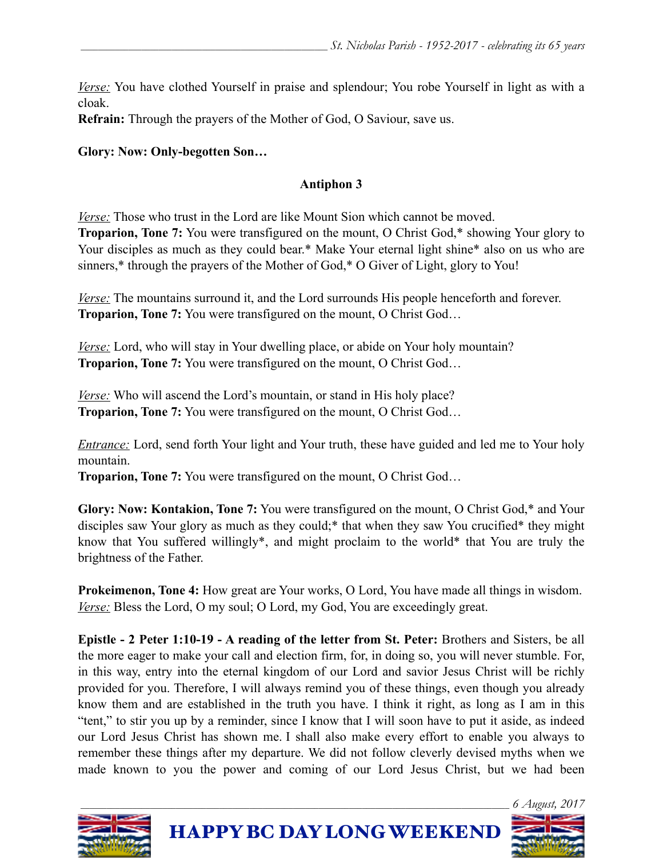*Verse:* You have clothed Yourself in praise and splendour; You robe Yourself in light as with a cloak.

**Refrain:** Through the prayers of the Mother of God, O Saviour, save us.

## **Glory: Now: Only-begotten Son…**

## **Antiphon 3**

*Verse:* Those who trust in the Lord are like Mount Sion which cannot be moved.

**Troparion, Tone 7:** You were transfigured on the mount, O Christ God,\* showing Your glory to Your disciples as much as they could bear.\* Make Your eternal light shine\* also on us who are sinners,\* through the prayers of the Mother of God,\* O Giver of Light, glory to You!

*Verse:* The mountains surround it, and the Lord surrounds His people henceforth and forever. **Troparion, Tone 7:** You were transfigured on the mount, O Christ God…

*Verse:* Lord, who will stay in Your dwelling place, or abide on Your holy mountain? **Troparion, Tone 7:** You were transfigured on the mount, O Christ God…

*Verse:* Who will ascend the Lord's mountain, or stand in His holy place? **Troparion, Tone 7:** You were transfigured on the mount, O Christ God…

*Entrance:* Lord, send forth Your light and Your truth, these have guided and led me to Your holy mountain.

**Troparion, Tone 7:** You were transfigured on the mount, O Christ God…

**Glory: Now: Kontakion, Tone 7:** You were transfigured on the mount, O Christ God,\* and Your disciples saw Your glory as much as they could;\* that when they saw You crucified\* they might know that You suffered willingly\*, and might proclaim to the world\* that You are truly the brightness of the Father.

**Prokeimenon, Tone 4:** How great are Your works, O Lord, You have made all things in wisdom. *Verse:* Bless the Lord, O my soul; O Lord, my God, You are exceedingly great.

**Epistle - 2 Peter 1:10-19 - A reading of the letter from St. Peter:** Brothers and Sisters, be all the more eager to make your call and election firm, for, in doing so, you will never stumble. For, in this way, entry into the eternal kingdom of our Lord and savior Jesus Christ will be richly provided for you. Therefore, I will always remind you of these things, even though you already know them and are established in the truth you have. I think it right, as long as I am in this "tent," to stir you up by a reminder, since I know that I will soon have to put it aside, as indeed our Lord Jesus Christ has shown me. I shall also make every effort to enable you always to remember these things after my departure. We did not follow cleverly devised myths when we made known to you the power and coming of our Lord Jesus Christ, but we had been



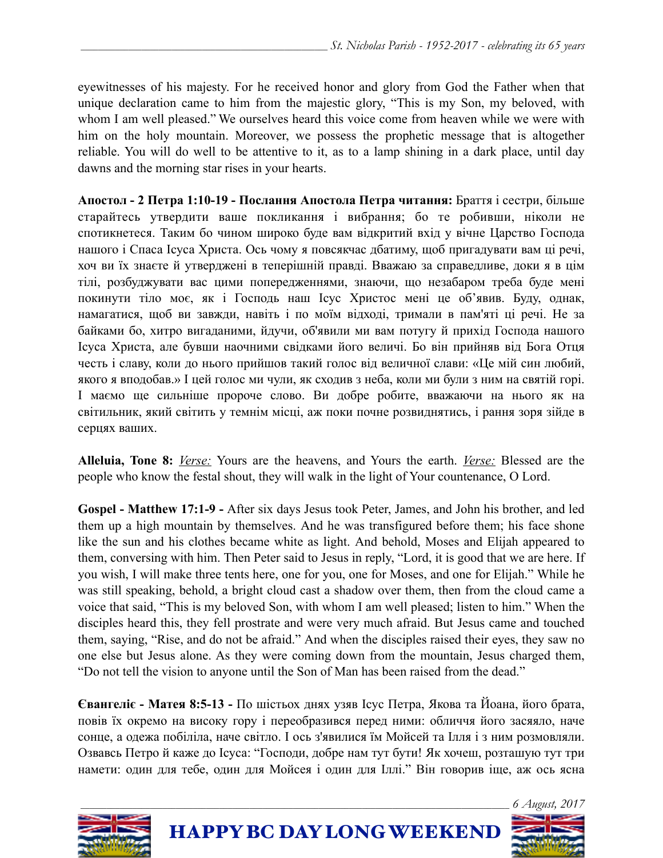eyewitnesses of his majesty. For he received honor and glory from God the Father when that unique declaration came to him from the majestic glory, "This is my Son, my beloved, with whom I am well pleased." We ourselves heard this voice come from heaven while we were with him on the holy mountain. Moreover, we possess the prophetic message that is altogether reliable. You will do well to be attentive to it, as to a lamp shining in a dark place, until day dawns and the morning star rises in your hearts.

**Апостол - 2 Петра 1:10-19 - Послання Апостола Петра читання:** Браття і сестри, більше старайтесь утвердити ваше покликання і вибрання; бо те робивши, ніколи не спотикнетеся. Таким бо чином широко буде вам відкритий вхід у вічне Царство Господа нашого і Спаса Ісуса Христа. Ось чому я повсякчас дбатиму, щоб пригадувати вам ці речі, хоч ви їх знаєте й утверджені в теперішній правді. Вважаю за справедливе, доки я в цім тілі, розбуджувати вас цими попередженнями, знаючи, що незабаром треба буде мені покинути тіло моє, як і Господь наш Ісус Христос мені це об'явив. Буду, однак, намагатися, щоб ви завжди, навіть і по моїм відході, тримали в пам'яті ці речі. Не за байками бо, хитро вигаданими, йдучи, об'явили ми вам потугу й прихід Господа нашого Ісуса Христа, але бувши наочними свідками його величі. Бо він прийняв від Бога Отця честь і славу, коли до нього прийшов такий голос від величної слави: «Це мій син любий, якого я вподобав.» І цей голос ми чули, як сходив з неба, коли ми були з ним на святій горі. І маємо ще сильніше пророче слово. Ви добре робите, вважаючи на нього як на світильник, який світить у темнім місці, аж поки почне розвиднятись, і рання зоря зійде в серцях ваших.

**Alleluia, Tone 8:** *Verse:* Yours are the heavens, and Yours the earth. *Verse:* Blessed are the people who know the festal shout, they will walk in the light of Your countenance, O Lord.

**Gospel - Matthew 17:1-9 -** After six days Jesus took Peter, James, and John his brother, and led them up a high mountain by themselves. And he was transfigured before them; his face shone like the sun and his clothes became white as light. And behold, Moses and Elijah appeared to them, conversing with him. Then Peter said to Jesus in reply, "Lord, it is good that we are here. If you wish, I will make three tents here, one for you, one for Moses, and one for Elijah." While he was still speaking, behold, a bright cloud cast a shadow over them, then from the cloud came a voice that said, "This is my beloved Son, with whom I am well pleased; listen to him." When the disciples heard this, they fell prostrate and were very much afraid. But Jesus came and touched them, saying, "Rise, and do not be afraid." And when the disciples raised their eyes, they saw no one else but Jesus alone. As they were coming down from the mountain, Jesus charged them, "Do not tell the vision to anyone until the Son of Man has been raised from the dead."

**Євангеліє - Матея 8:5-13 -** По шістьох днях узяв Ісус Петра, Якова та Йоана, його брата, повів їх окремо на високу гору і переобразився перед ними: обличчя його засяяло, наче сонце, а одежа побіліла, наче світло. І ось з'явилися їм Мойсей та Ілля і з ним розмовляли. Озвавсь Петро й каже до Ісуса: "Господи, добре нам тут бути! Як хочеш, розташую тут три намети: один для тебе, один для Мойсея і один для Іллі." Він говорив іще, аж ось ясна

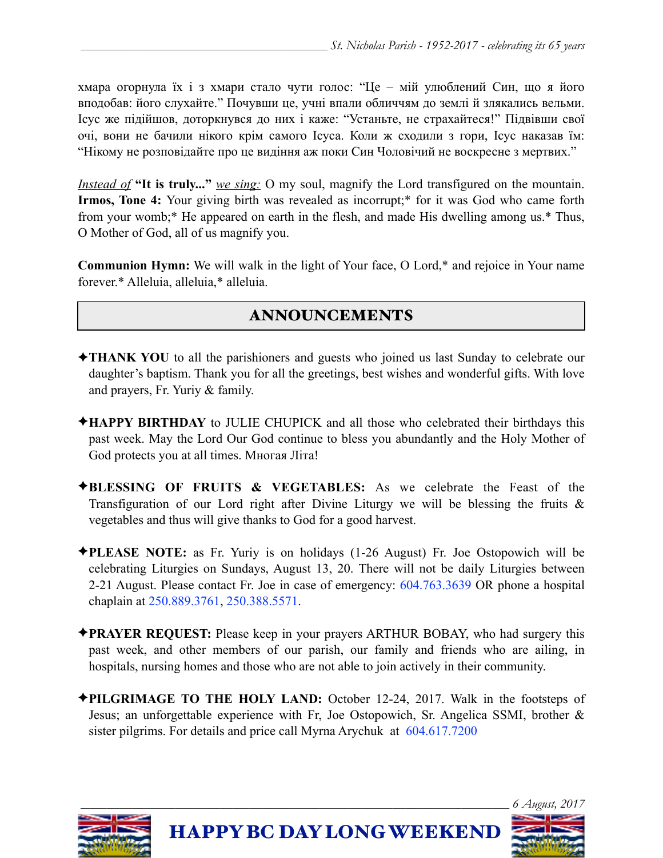хмара огорнула їх і з хмари стало чути голос: "Це – мій улюблений Син, що я його вподобав: його слухайте." Почувши це, учні впали обличчям до землі й злякались вельми. Ісус же підійшов, доторкнувся до них і каже: "Устаньте, не страхайтеся!" Підвівши свої очі, вони не бачили нікого крім самого Ісуса. Коли ж сходили з гори, Ісус наказав їм: "Нікому не розповідайте про це видіння аж поки Син Чоловічий не воскресне з мертвих."

*Instead of* **"It is truly..."** *we sing:* O my soul, magnify the Lord transfigured on the mountain. **Irmos, Tone 4:** Your giving birth was revealed as incorrupt;\* for it was God who came forth from your womb;\* He appeared on earth in the flesh, and made His dwelling among us.\* Thus, O Mother of God, all of us magnify you.

**Communion Hymn:** We will walk in the light of Your face, O Lord,\* and rejoice in Your name forever.\* Alleluia, alleluia,\* alleluia.

# ANNOUNCEMENTS

- ✦**THANK YOU** to all the parishioners and guests who joined us last Sunday to celebrate our daughter's baptism. Thank you for all the greetings, best wishes and wonderful gifts. With love and prayers, Fr. Yuriy & family.
- ✦**HAPPY BIRTHDAY** to JULIE CHUPICK and all those who celebrated their birthdays this past week. May the Lord Our God continue to bless you abundantly and the Holy Mother of God protects you at all times. Многая Літа!
- ✦**BLESSING OF FRUITS & VEGETABLES:** As we celebrate the Feast of the Transfiguration of our Lord right after Divine Liturgy we will be blessing the fruits  $\&$ vegetables and thus will give thanks to God for a good harvest.
- ✦**PLEASE NOTE:** as Fr. Yuriy is on holidays (1-26 August) Fr. Joe Ostopowich will be celebrating Liturgies on Sundays, August 13, 20. There will not be daily Liturgies between 2-21 August. Please contact Fr. Joe in case of emergency: 604.763.3639 OR phone a hospital chaplain at 250.889.3761, 250.388.5571.
- ✦**PRAYER REQUEST:** Please keep in your prayers ARTHUR BOBAY, who had surgery this past week, and other members of our parish, our family and friends who are ailing, in hospitals, nursing homes and those who are not able to join actively in their community.
- ✦**PILGRIMAGE TO THE HOLY LAND:** October 12-24, 2017. Walk in the footsteps of Jesus; an unforgettable experience with Fr, Joe Ostopowich, Sr. Angelica SSMI, brother & sister pilgrims. For details and price call Myrna Arychuk at 604.617.7200